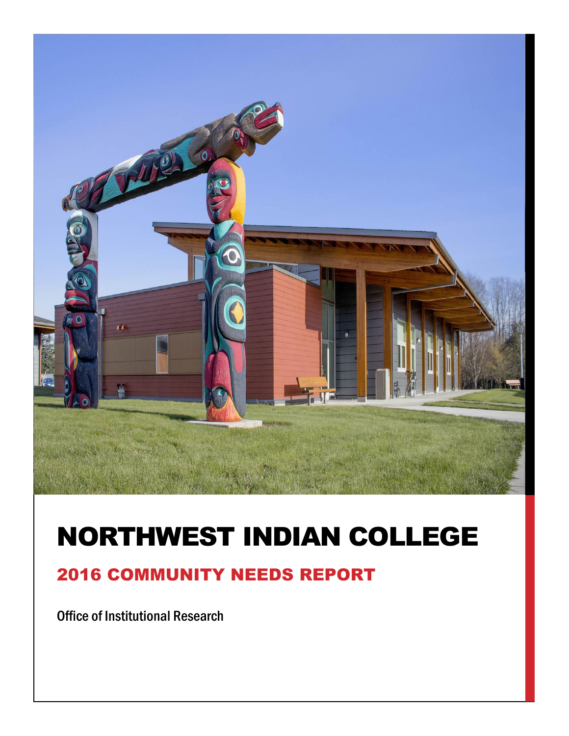

## NORTHWEST INDIAN COLLEGE

## 2016 COMMUNITY NEEDS REPORT

Office of Institutional Research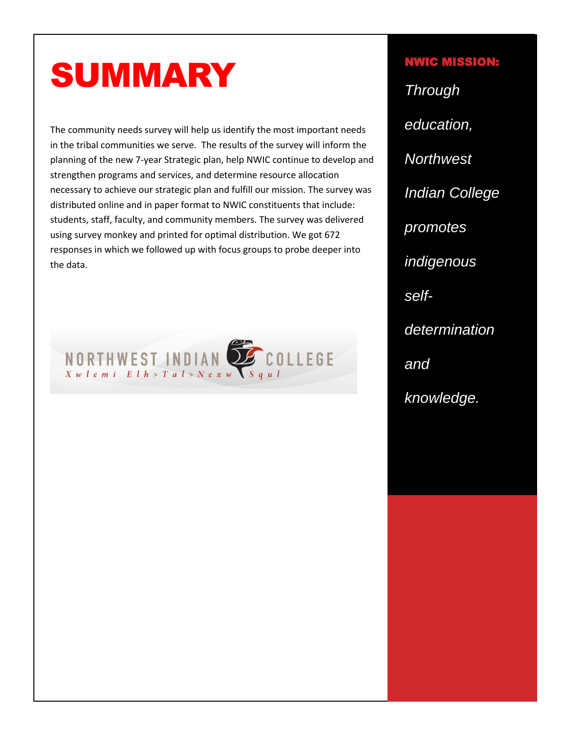# SUMMARY

The community needs survey will help us identify the most important needs in the tribal communities we serve. The results of the survey will inform the planning of the new 7-year Strategic plan, help NWIC continue to develop and strengthen programs and services, and determine resource allocation necessary to achieve our strategic plan and fulfill our mission. The survey was distributed online and in paper format to NWIC constituents that include: students, staff, faculty, and community members. The survey was delivered using survey monkey and printed for optimal distribution. We got 672 responses in which we followed up with focus groups to probe deeper into the data.



## NWIC MISSION: *Through education, Northwest Indian College promotes indigenous selfdetermination and knowledge.*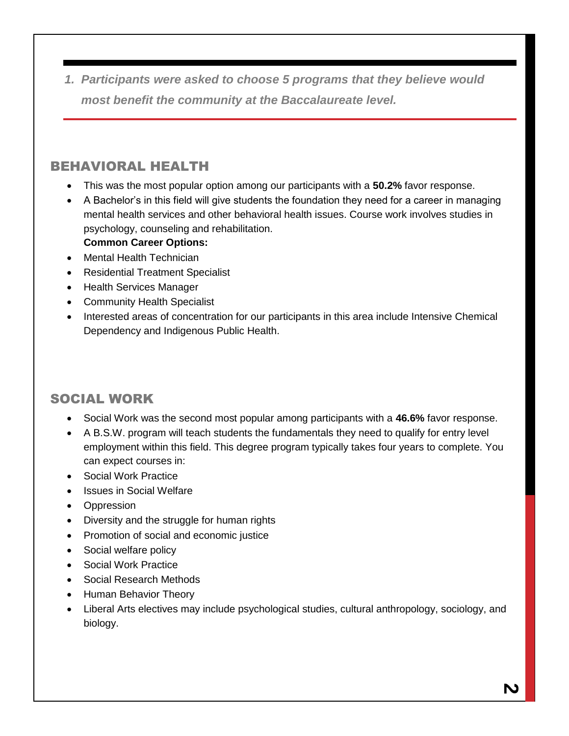*1. Participants were asked to choose 5 programs that they believe would most benefit the community at the Baccalaureate level.*

### BEHAVIORAL HEALTH

- This was the most popular option among our participants with a **50.2%** favor response.
- A Bachelor's in this field will give students the foundation they need for a career in managing mental health services and other behavioral health issues. Course work involves studies in psychology, counseling and rehabilitation.
	- **Common Career Options:**
- Mental Health Technician
- Residential Treatment Specialist
- Health Services Manager
- Community Health Specialist
- Interested areas of concentration for our participants in this area include Intensive Chemical Dependency and Indigenous Public Health.

### SOCIAL WORK

- Social Work was the second most popular among participants with a **46.6%** favor response.
- A B.S.W. program will teach students the fundamentals they need to qualify for entry level employment within this field. This degree program typically takes four years to complete. You can expect courses in:
- Social Work Practice
- Issues in Social Welfare
- Oppression
- Diversity and the struggle for human rights
- Promotion of social and economic justice
- Social welfare policy
- Social Work Practice
- Social Research Methods
- Human Behavior Theory
- Liberal Arts electives may include psychological studies, cultural anthropology, sociology, and biology.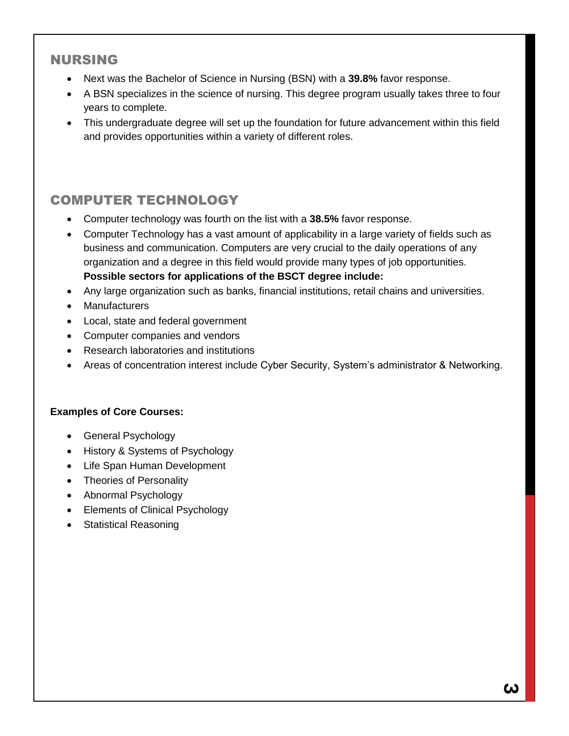### NURSING

- Next was the Bachelor of Science in Nursing (BSN) with a **39.8%** favor response.
- A BSN specializes in the science of nursing. This degree program usually takes three to four years to complete.
- This undergraduate degree will set up the foundation for future advancement within this field and provides opportunities within a variety of different roles.

## COMPUTER TECHNOLOGY

- Computer technology was fourth on the list with a **38.5%** favor response.
- Computer Technology has a vast amount of applicability in a large variety of fields such as business and communication. Computers are very crucial to the daily operations of any organization and a degree in this field would provide many types of job opportunities. **Possible sectors for applications of the BSCT degree include:**
- Any large organization such as banks, financial institutions, retail chains and universities.
- Manufacturers
- Local, state and federal government
- Computer companies and vendors
- Research laboratories and institutions
- Areas of concentration interest include Cyber Security, System's administrator & Networking.

#### **Examples of Core Courses:**

- General Psychology
- History & Systems of Psychology
- Life Span Human Development
- Theories of Personality
- Abnormal Psychology
- Elements of Clinical Psychology
- Statistical Reasoning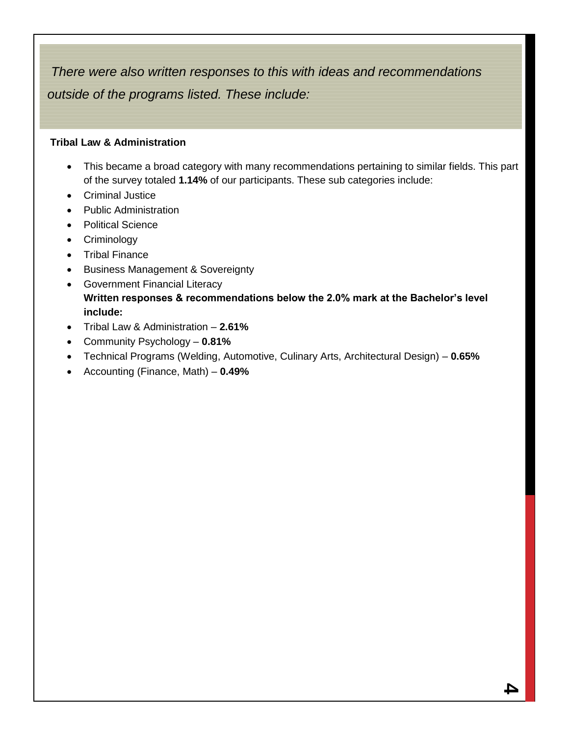*There were also written responses to this with ideas and recommendations outside of the programs listed. These include:* 

#### **Tribal Law & Administration**

- This became a broad category with many recommendations pertaining to similar fields. This part of the survey totaled **1.14%** of our participants. These sub categories include:
- Criminal Justice
- Public Administration
- Political Science
- Criminology
- Tribal Finance
- **•** Business Management & Sovereignty
- **•** Government Financial Literacy **Written responses & recommendations below the 2.0% mark at the Bachelor's level include:**
- Tribal Law & Administration **2.61%**
- Community Psychology **0.81%**
- Technical Programs (Welding, Automotive, Culinary Arts, Architectural Design) **0.65%**
- Accounting (Finance, Math) **0.49%**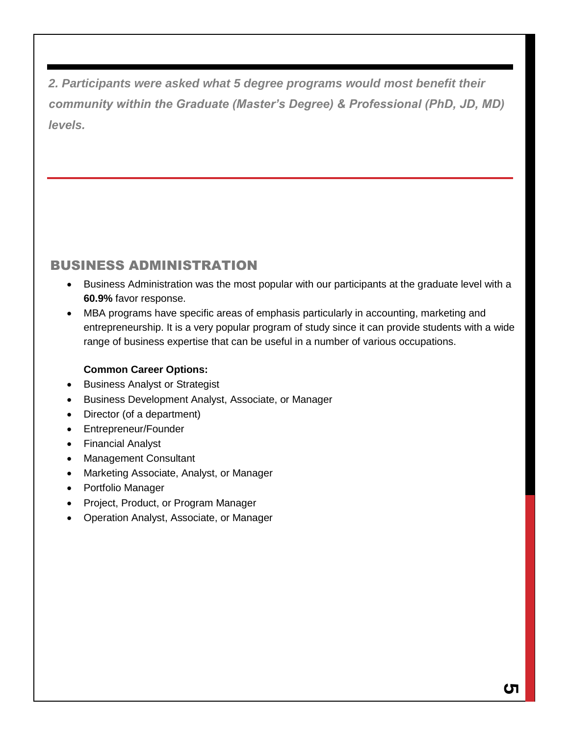*2. Participants were asked what 5 degree programs would most benefit their community within the Graduate (Master's Degree) & Professional (PhD, JD, MD) levels.*

## BUSINESS ADMINISTRATION

- Business Administration was the most popular with our participants at the graduate level with a **60.9%** favor response.
- MBA programs have specific areas of emphasis particularly in accounting, marketing and entrepreneurship. It is a very popular program of study since it can provide students with a wide range of business expertise that can be useful in a number of various occupations.

#### **Common Career Options:**

- Business Analyst or Strategist
- **Business Development Analyst, Associate, or Manager**
- Director (of a department)
- Entrepreneur/Founder
- Financial Analyst
- Management Consultant
- Marketing Associate, Analyst, or Manager
- Portfolio Manager
- Project, Product, or Program Manager
- Operation Analyst, Associate, or Manager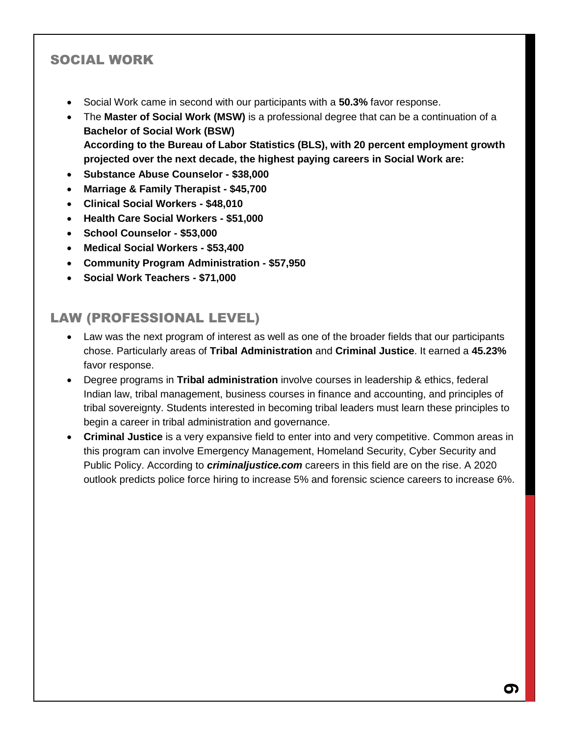## SOCIAL WORK

- Social Work came in second with our participants with a **50.3%** favor response.
- The **Master of Social Work (MSW)** is a professional degree that can be a continuation of a **Bachelor of Social Work (BSW) According to the Bureau of Labor Statistics (BLS), with 20 percent employment growth projected over the next decade, the highest paying careers in Social Work are:**
- **Substance Abuse Counselor - \$38,000**
- **Marriage & Family Therapist - \$45,700**
- **Clinical Social Workers - \$48,010**
- **Health Care Social Workers - \$51,000**
- **School Counselor - \$53,000**
- **Medical Social Workers - \$53,400**
- **Community Program Administration - \$57,950**
- **Social Work Teachers - \$71,000**

## LAW (PROFESSIONAL LEVEL)

- Law was the next program of interest as well as one of the broader fields that our participants chose. Particularly areas of **Tribal Administration** and **Criminal Justice**. It earned a **45.23%**  favor response.
- Degree programs in **Tribal administration** involve courses in leadership & ethics, federal Indian law, tribal management, business courses in finance and accounting, and principles of tribal sovereignty. Students interested in becoming tribal leaders must learn these principles to begin a career in tribal administration and governance.
- **Criminal Justice** is a very expansive field to enter into and very competitive. Common areas in this program can involve Emergency Management, Homeland Security, Cyber Security and Public Policy. According to *criminaljustice.com* careers in this field are on the rise. A 2020 outlook predicts police force hiring to increase 5% and forensic science careers to increase 6%.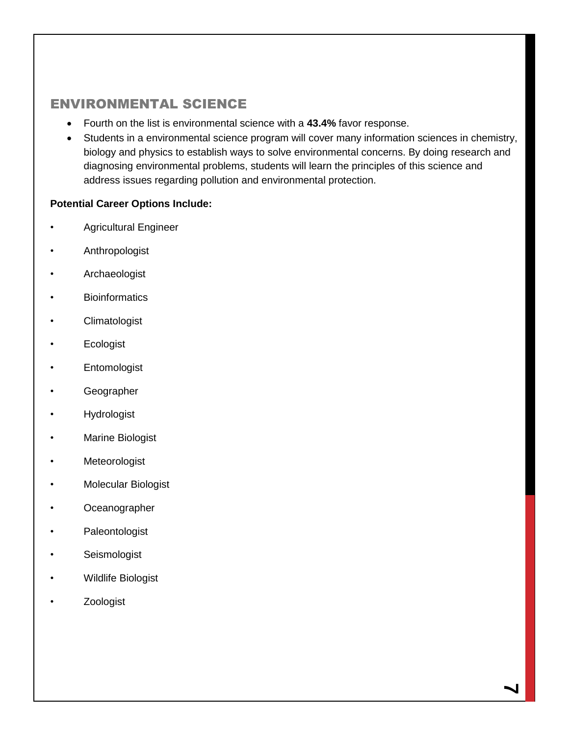## ENVIRONMENTAL SCIENCE

- Fourth on the list is environmental science with a **43.4%** favor response.
- Students in a environmental science program will cover many information sciences in chemistry, biology and physics to establish ways to solve environmental concerns. By doing research and diagnosing environmental problems, students will learn the principles of this science and address issues regarding pollution and environmental protection.

#### **Potential Career Options Include:**

- Agricultural Engineer
- **Anthropologist**
- Archaeologist
- **Bioinformatics**
- Climatologist
- Ecologist
- **Entomologist**
- Geographer
- **Hydrologist**
- Marine Biologist
- **Meteorologist**
- Molecular Biologist
- Oceanographer
- Paleontologist
- Seismologist
- Wildlife Biologist
- **Zoologist**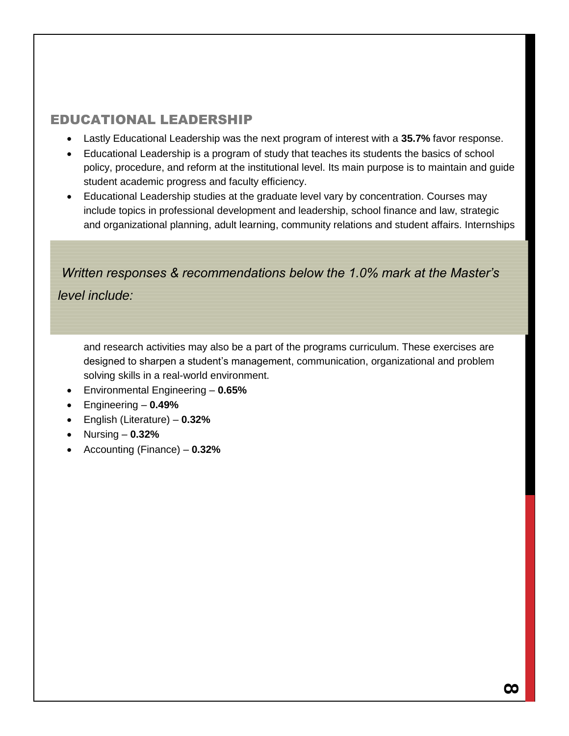## EDUCATIONAL LEADERSHIP

- Lastly Educational Leadership was the next program of interest with a **35.7%** favor response.
- Educational Leadership is a program of study that teaches its students the basics of school policy, procedure, and reform at the institutional level. Its main purpose is to maintain and guide student academic progress and faculty efficiency.
- Educational Leadership studies at the graduate level vary by concentration. Courses may include topics in professional development and leadership, school finance and law, strategic and organizational planning, adult learning, community relations and student affairs. Internships

*Written responses & recommendations below the 1.0% mark at the Master's level include:*

and research activities may also be a part of the programs curriculum. These exercises are designed to sharpen a student's management, communication, organizational and problem solving skills in a real-world environment.

- Environmental Engineering **0.65%**
- Engineering **0.49%**
- English (Literature) **0.32%**
- Nursing **0.32%**
- Accounting (Finance) **0.32%**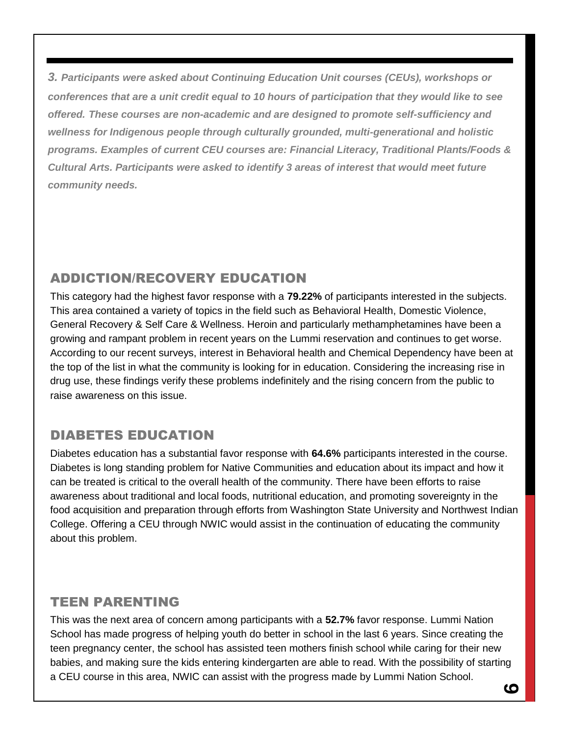*3. Participants were asked about Continuing Education Unit courses (CEUs), workshops or conferences that are a unit credit equal to 10 hours of participation that they would like to see offered. These courses are non-academic and are designed to promote self-sufficiency and wellness for Indigenous people through culturally grounded, multi-generational and holistic programs. Examples of current CEU courses are: Financial Literacy, Traditional Plants/Foods & Cultural Arts. Participants were asked to identify 3 areas of interest that would meet future community needs.*

## ADDICTION/RECOVERY EDUCATION

This category had the highest favor response with a **79.22%** of participants interested in the subjects. This area contained a variety of topics in the field such as Behavioral Health, Domestic Violence, General Recovery & Self Care & Wellness. Heroin and particularly methamphetamines have been a growing and rampant problem in recent years on the Lummi reservation and continues to get worse. According to our recent surveys, interest in Behavioral health and Chemical Dependency have been at the top of the list in what the community is looking for in education. Considering the increasing rise in drug use, these findings verify these problems indefinitely and the rising concern from the public to raise awareness on this issue.

## DIABETES EDUCATION

Diabetes education has a substantial favor response with **64.6%** participants interested in the course. Diabetes is long standing problem for Native Communities and education about its impact and how it can be treated is critical to the overall health of the community. There have been efforts to raise awareness about traditional and local foods, nutritional education, and promoting sovereignty in the food acquisition and preparation through efforts from Washington State University and Northwest Indian College. Offering a CEU through NWIC would assist in the continuation of educating the community about this problem.

## TEEN PARENTING

This was the next area of concern among participants with a **52.7%** favor response. Lummi Nation School has made progress of helping youth do better in school in the last 6 years. Since creating the teen pregnancy center, the school has assisted teen mothers finish school while caring for their new babies, and making sure the kids entering kindergarten are able to read. With the possibility of starting a CEU course in this area, NWIC can assist with the progress made by Lummi Nation School.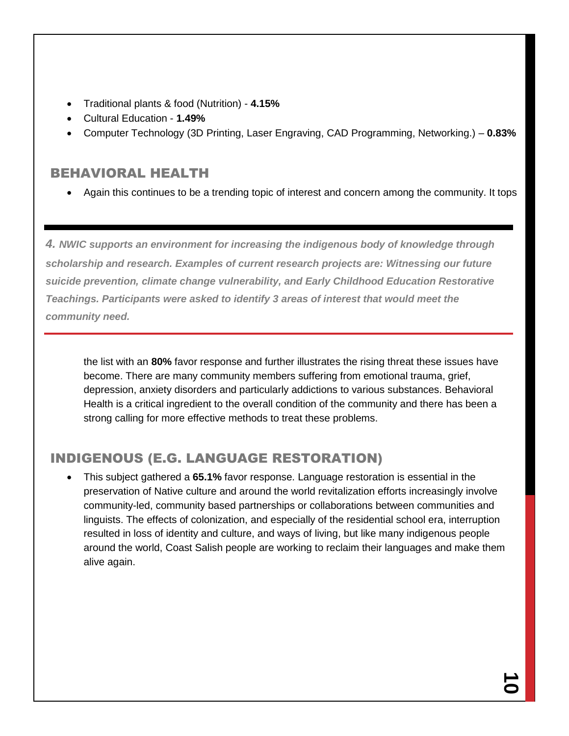- Traditional plants & food (Nutrition) **4.15%**
- Cultural Education **1.49%**
- Computer Technology (3D Printing, Laser Engraving, CAD Programming, Networking.) **0.83%**

#### BEHAVIORAL HEALTH

Again this continues to be a trending topic of interest and concern among the community. It tops

*4. NWIC supports an environment for increasing the indigenous body of knowledge through scholarship and research. Examples of current research projects are: Witnessing our future suicide prevention, climate change vulnerability, and Early Childhood Education Restorative Teachings. Participants were asked to identify 3 areas of interest that would meet the community need.*

the list with an **80%** favor response and further illustrates the rising threat these issues have become. There are many community members suffering from emotional trauma, grief, depression, anxiety disorders and particularly addictions to various substances. Behavioral Health is a critical ingredient to the overall condition of the community and there has been a strong calling for more effective methods to treat these problems.

## INDIGENOUS (E.G. LANGUAGE RESTORATION)

 This subject gathered a **65.1%** favor response. Language restoration is essential in the preservation of Native culture and around the world revitalization efforts increasingly involve community-led, community based partnerships or collaborations between communities and linguists. The effects of colonization, and especially of the residential school era, interruption resulted in loss of identity and culture, and ways of living, but like many indigenous people around the world, Coast Salish people are working to reclaim their languages and make them alive again.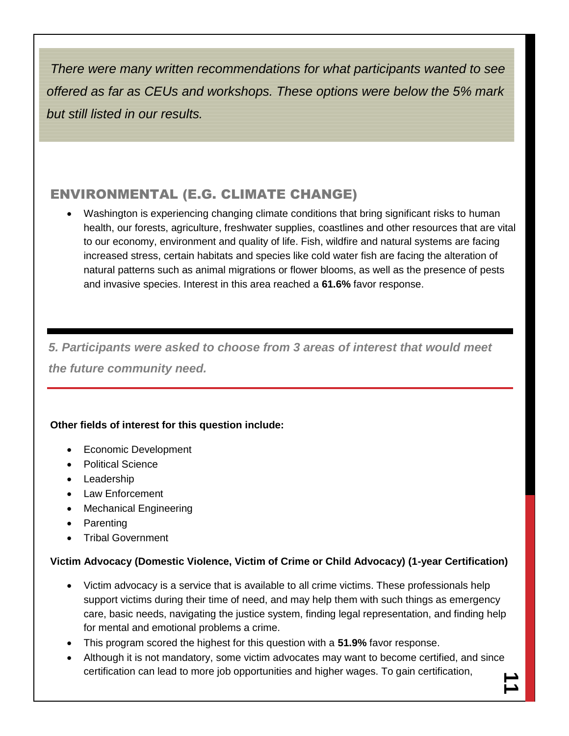*There were many written recommendations for what participants wanted to see offered as far as CEUs and workshops. These options were below the 5% mark but still listed in our results.* 

## ENVIRONMENTAL (E.G. CLIMATE CHANGE)

Washington is experiencing changing climate conditions that bring significant risks to human health, our forests, agriculture, freshwater supplies, coastlines and other resources that are vital to our economy, environment and quality of life. Fish, wildfire and natural systems are facing increased stress, certain habitats and species like cold water fish are facing the alteration of natural patterns such as animal migrations or flower blooms, as well as the presence of pests and invasive species. Interest in this area reached a **61.6%** favor response.

*5. Participants were asked to choose from 3 areas of interest that would meet the future community need.*

#### **Other fields of interest for this question include:**

- Economic Development
- Political Science
- Leadership
- Law Enforcement
- Mechanical Engineering
- Parenting
- Tribal Government

#### **Victim Advocacy (Domestic Violence, Victim of Crime or Child Advocacy) (1-year Certification)**

- Victim advocacy is a service that is available to all crime victims. These professionals help support victims during their time of need, and may help them with such things as emergency care, basic needs, navigating the justice system, finding legal representation, and finding help for mental and emotional problems a crime.
- This program scored the highest for this question with a **51.9%** favor response.
- Although it is not mandatory, some victim advocates may want to become certified, and since certification can lead to more job opportunities and higher wages. To gain certification,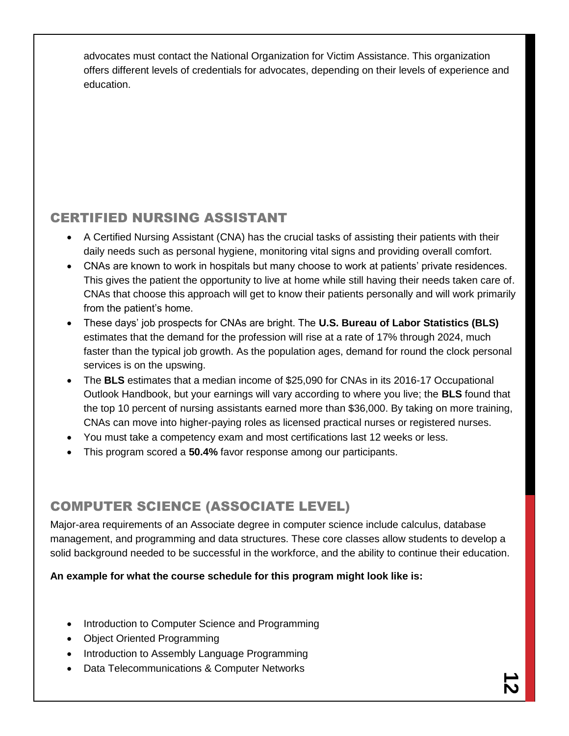advocates must contact the National Organization for Victim Assistance. This organization offers different levels of credentials for advocates, depending on their levels of experience and education.

## CERTIFIED NURSING ASSISTANT

- A Certified Nursing Assistant (CNA) has the crucial tasks of assisting their patients with their daily needs such as personal hygiene, monitoring vital signs and providing overall comfort.
- CNAs are known to work in hospitals but many choose to work at patients' private residences. This gives the patient the opportunity to live at home while still having their needs taken care of. CNAs that choose this approach will get to know their patients personally and will work primarily from the patient's home.
- These days' job prospects for CNAs are bright. The **U.S. Bureau of Labor Statistics (BLS)** estimates that the demand for the profession will rise at a rate of 17% through 2024, much faster than the typical job growth. As the population ages, demand for round the clock personal services is on the upswing.
- The **BLS** estimates that a median income of \$25,090 for CNAs in its 2016-17 Occupational Outlook Handbook, but your earnings will vary according to where you live; the **BLS** found that the top 10 percent of nursing assistants earned more than \$36,000. By taking on more training, CNAs can move into higher-paying roles as licensed practical nurses or registered nurses.
- You must take a competency exam and most certifications last 12 weeks or less.
- This program scored a **50.4%** favor response among our participants.

## COMPUTER SCIENCE (ASSOCIATE LEVEL)

Major-area requirements of an Associate degree in computer science include calculus, database management, and programming and data structures. These core classes allow students to develop a solid background needed to be successful in the workforce, and the ability to continue their education.

#### **An example for what the course schedule for this program might look like is:**

- Introduction to Computer Science and Programming
- Object Oriented Programming
- Introduction to Assembly Language Programming
- Data Telecommunications & Computer Networks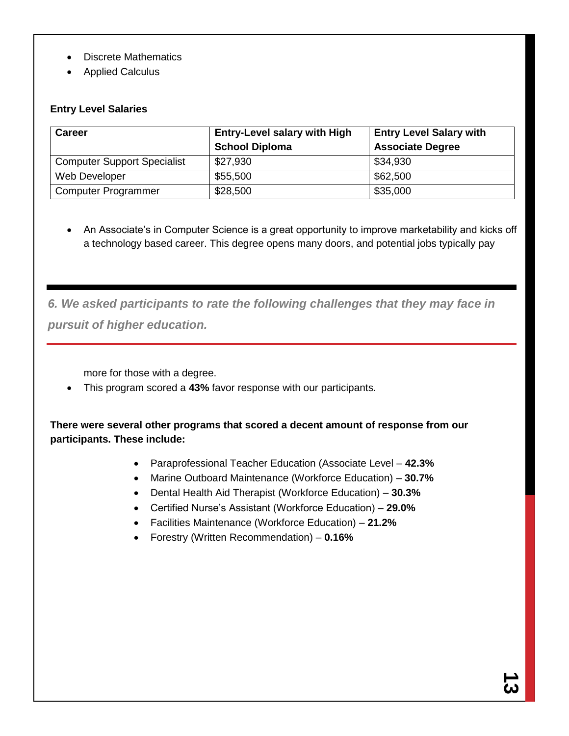- Discrete Mathematics
- Applied Calculus

#### **Entry Level Salaries**

| <b>Career</b>                      | <b>Entry-Level salary with High</b> | <b>Entry Level Salary with</b> |  |  |  |
|------------------------------------|-------------------------------------|--------------------------------|--|--|--|
|                                    | <b>School Diploma</b>               | <b>Associate Degree</b>        |  |  |  |
| <b>Computer Support Specialist</b> | \$27,930                            | \$34,930                       |  |  |  |
| Web Developer                      | \$55,500                            | \$62,500                       |  |  |  |
| <b>Computer Programmer</b>         | \$28,500                            | \$35,000                       |  |  |  |

• An Associate's in Computer Science is a great opportunity to improve marketability and kicks off a technology based career. This degree opens many doors, and potential jobs typically pay

*6. We asked participants to rate the following challenges that they may face in pursuit of higher education.*

more for those with a degree.

This program scored a **43%** favor response with our participants.

**There were several other programs that scored a decent amount of response from our participants. These include:**

- Paraprofessional Teacher Education (Associate Level **42.3%**
- Marine Outboard Maintenance (Workforce Education) **30.7%**
- Dental Health Aid Therapist (Workforce Education) **30.3%**
- Certified Nurse's Assistant (Workforce Education) **29.0%**
- Facilities Maintenance (Workforce Education) **21.2%**
- Forestry (Written Recommendation) **0.16%**